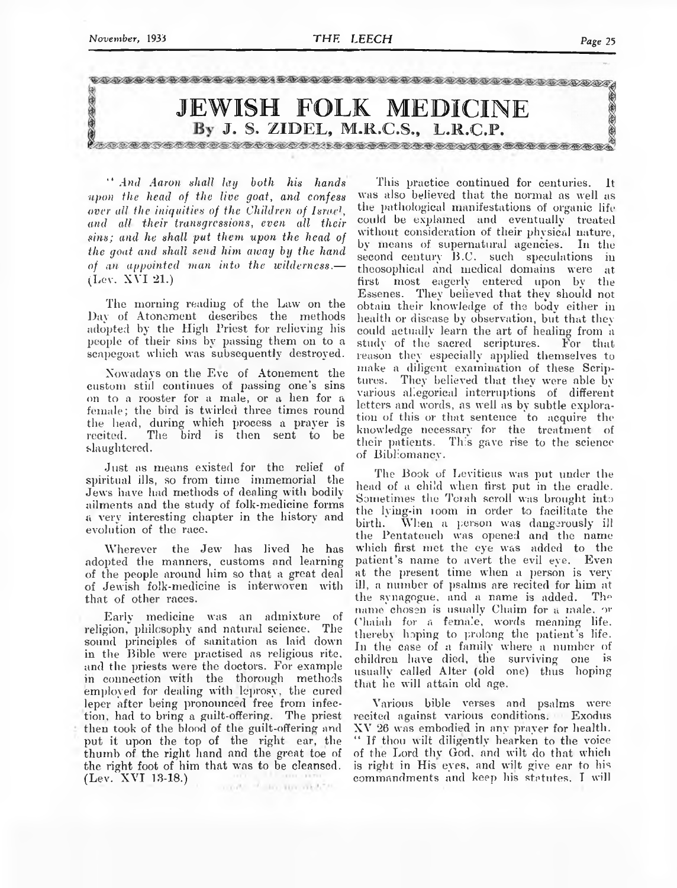

*upon the head of the live goat, and. confess over all the iniquities of the Children of Israel, and all their transgressions, even all their sins; and he shall put them upon the head of the goat and shall send him away by the hand of an appointed man into the wilderness*.— (Lev. XVI 21.)

The morning reading of the Law on the Day of Atonement describes the methods adopted by the High Priest for relieving his people of their sins by passing them on to a scapegoat which was subsequently destroyed.

Nowadays on the Eve of Atonement the custom still continues of passing one's sins on to a rooster for a male, or a hen for a female; the bird is twirled three times round the head, during which process a prayer is recited. The bird is then sent to be slaughtered.

Just as means existed for the relief of spiritual ills, so from time immemorial the Jews have had methods of dealing with bodilyailments and the study of folk-medicine forms a very interesting chapter in the history and evolution of the race.

Wherever the Jew has lived he has adopted the manners, customs and learning of the people around him so that a great deal of Jewish folk-medicine is interwoven with that of other races.

Early medicine was an admixture of religion, philosophy and natural science. The sound principles of sanitation as laid down in the Bible were practised as religious rite, and the priests were the doctors. For example in connection with the thorough methods employed for dealing with leprosy, the cured leper after being pronounced free from infection, had to bring a guilt-offering. The priest then took of the blood of the guilt-offering and put it upon the top of the right ear, the thumb of the right hand and the great toe of the right foot of him that was to be cleansed. (Lev. XVI 13-18.)

TOWN THE RECYCLE AND REAL PROPERTY.

" *And Aaron shall lay both his hands* This practice continued for centuries. It was also believed that the normal as well as the pathological manifestations of organic life could be explained and eventually treated without consideration of their physical nature, by means of supernatural agencies. In the second century B.C. such speculations in theosophical and medical domains were at first most eagerly entered upon by the Essenes. They believed that they should not obtain their knowledge of the body either in health or disease by observation, but that they could actually learn the art of healing from a study of the sacred scriptures. For that reason they especially applied themselves to make a diligent examination of these Scriptures. They believed that they were able byvarious allegorical interruptions of different letters and words, as well as by subtle exploration of this or that sentence to acquire the knowledge necessary for the treatment of their patients. This gave rise to the science of Bibliomancv.

> The Book of Leviticus was put under the head of a child when first put in the cradle. Sometimes the Torah scroll was brought into the lying-in loom in order to facilitate the birth. When a person was dangerously ill the Pentateuch was opened and the name which first met the eye was added to the patient's name to avert the evil eye. Even at the present time when a person is veryill, a number of psalms are recited for him at the synagogue, and a name is added. The name chosen is usually Chaim for a male, or Chaiali for a female, words meaning life, thereby hoping to prolong the patient's life. In the case of a family where a number of children have died, the surviving one is usually called Alter (old one) thus hoping that he will attain old age.

> Various bible verses and psalms were recited against various conditions. Exodus XV 26 was embodied in any prayer for health. " If thou wilt diligently hearken to the voice of the Lord thv God. and wilt do that which is right in His eyes, and wilt give ear to bis commandments and keep his statutes. I will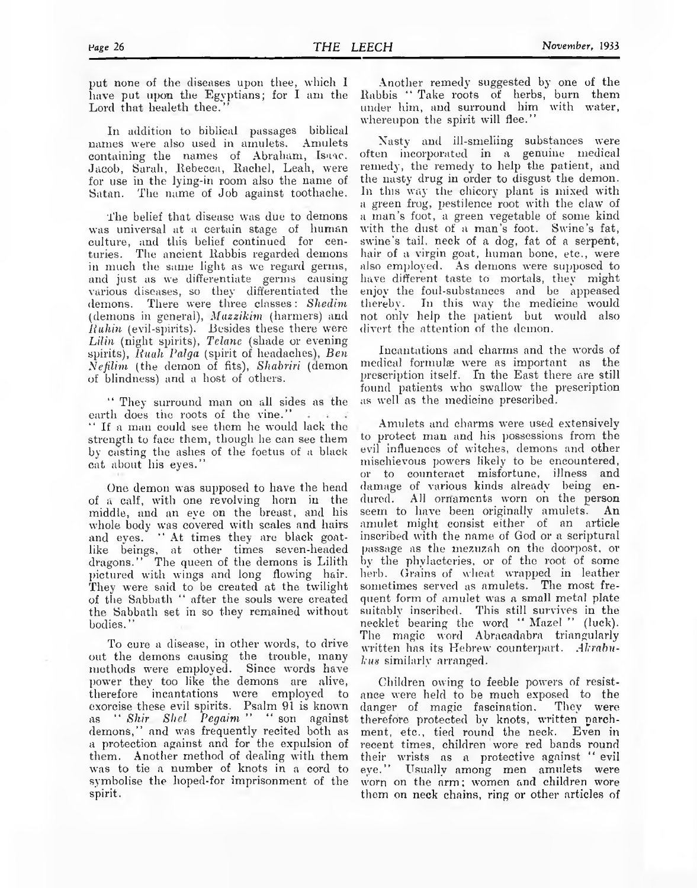In addition to biblical passages biblical names were also used in amulets. Amulets containing the names of Abraham, Isaac. Jacob, Sarah, Ilebecea, Kachel, Leah, were for use in the lying-in room also the name of Satan. The name of Job against toothache.

The belief that disease was due to demons was universal at a certain stage of human culture, and this belief continued for centuries. The ancient Rabbis regarded demons in much the same light as we regard germs, and just as we differentiate germs causing various diseases, so they differentiated the demons. There were three classes: *Shedim* (demons in general), *Mazzikim* (harmers) and *Ruhin* (evil-spirits). Besides these there were *Lilin* (night spirits), *Tclanc* (shade or evening spirits), *Ruah Palga* (spirit of headaches), *Ben NefiUm* (the demon of fits), *Shabriri* (demon of blindness) and a host of others.

" They surround man on all sides as the earth does the roots of the vine." If a man could see them he would lack the strength to face them, though he can see them by casting the ashes of the foetus of a black cat about his eyes."

One demon was supposed to have the head of a calf, with one revolving horn in the middle, and an eye on the breast, and his whole body was covered with scales and hairs and eyes. '' At times they are black goatlike beings, at other times seven-headed dragons." The queen of the demons is Lilith pictured with wings and long flowing hair. They were said to be created at the twilight of the Sabbath " after the souls were created the Sabbath set in so they remained without bodies. "

To cure a disease, in other words, to drive out the demons causing the trouble, many methods were employed. Since words have power they too like the demons are alive, therefore incantations were employed to exorcise these evil spirits. Psalm 91 is known as "Shir Shel Pegaim" "son against demons," and was frequently recited both as a protection against and for the expulsion of them. Another method of dealing with them was to tie a number of knots in a cord to symbolise the hoped-for imprisonment of the spirit.

Another remedy suggested by one of the Rabbis "Take roots of herbs, burn them under him, and surround him with water, whereupon the spirit will flee."

Xasty and ill-smelling substances were often incorporated in a genuine medical remedy, the remedy to help the patient, and the nasty drug in order to disgust the demon. In this way the chicory plant is mixed with a green frog, pestilence root with the claw of a man's foot, a green vegetable of some kind with the dust of a man's foot. Swine's fat, swine's tail, neck of a dog, fat of a serpent, hair of a virgin goat, human bone, etc., were also employed. As demons were supposed to have different taste to mortals, they might enjoy the foul-substances and be appeased thereby. In this way the medicine would not only help the patient but would also divert the attention of the demon.

Incantations and charms and the words of medical formulae were as important as the prescription itself. In the East there are still found patients who swallow the prescription as well as the medicine prescribed.

Amulets and charms were used extensively to protect man and his possessions from the evil influences of witches, demons and other mischievous powers likely to be encountered, or to counteract misfortune, illness and damage of various kinds already being endured. All ornaments worn on the person seem to have been originally amulets. An amulet might consist either of an article inscribed with the name of God or a scriptural passage as the inezuzah on the doorpost, or by the phylacteries, or of the root of some herb. Grains of wheat wrapped in leather sometimes served as amulets. The most frequent form of amulet was a small metal plate suitably inscribed. This still survives in the necklet bearing the word "Mazel " (luck). The magic word Abracadabra triangularly written has its Hebrew counterpart. *Akrabukus* similarly arranged.

Children owing to feeble powers of resistance were held to be much exposed to the danger of magic fascination. They were therefore protected by knots, written parchment, etc., tied round the neck. Even in recent times, children wore red bands round their wrists as a protective against "evil eye." Usually among men amulets were worn on the arm; women and children wore them on neck chains, ring or other articles of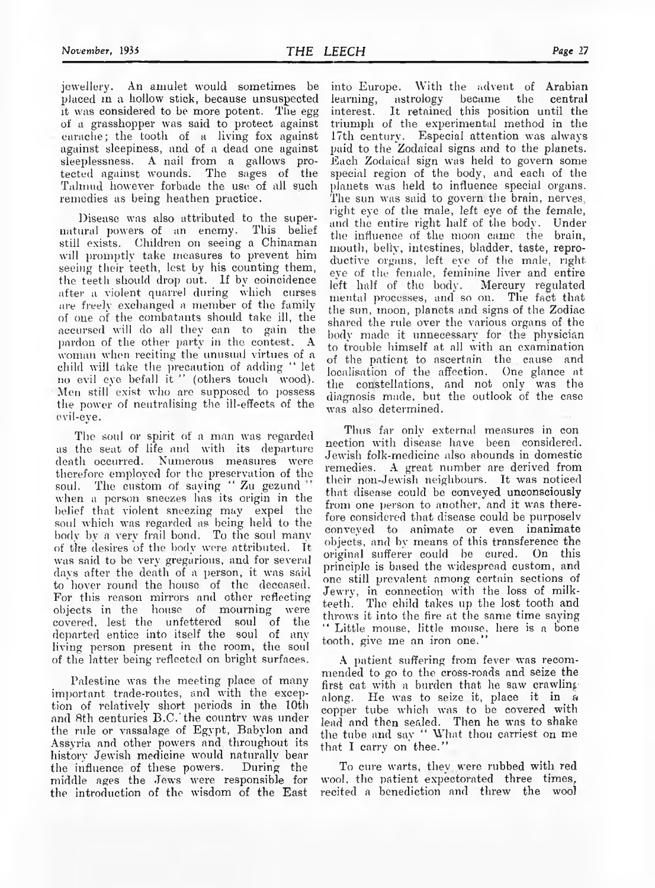jewellery. An amulet would sometimes be placed in a hollow stick, because unsuspected it was considered to be more potent. The egg of a grasshopper was said to protect against earache; the tooth of a living fox against against sleepiness, and of a dead one against sleeplessness. A nail from a gallows protected against wounds. The sages of the Talmud however forbade the use of all such remedies as being heathen practice.

Disease was also attributed to the supernatural powers of an enemy. This belief still exists. Children on seeing a Chinaman will promptly take measures to prevent him seeing their teeth, lest by his counting them, the teeth should drop out. If by coincidence after a violent quarrel during which curses are freely exchanged a member of the family of one of the combatants should take ill, the accursed will do all they can to gain the pardon of the other party in the contest. A woman when reciting the unusual virtues of a child will take the precaution of adding " let no evil eye befall it " (others touch wood). Men still exist who are supposed to possess the power of neutralising the ill-effects of the evil-eye.

The soul or spirit of a man was regarded as the seat of life and with its departure death occurred. Numerous measures were therefore employed for the preservation of the soul. The custom of saying " Zu gezund" when a person sneezes has its origin in the belief that violent sneezing may expel the soul which was regarded as being held to the body by a very frail bond. To the soul many of the desires of the body were attributed. Tt was said to be very gregarious, and for several days after the death of a person, it was said to hover round the house of the deceased. For this reason mirrors and other reflecting objects in the house of mourning were covered, lest the unfettered soul of the departed entice into itself the soul of any living person present in the room, the soul of the latter being reflected on bright surfaces.

Palestine was the meeting place of many important trade-routes, and with the exception of relatively short periods in the 10th and 8th centuries B.C.' the country was under the rule or vassalage of Egypt, Babylon and Assyria and other powers and throughout its history Jewish medicine would naturally bear the influence of these powers. During the middle ages the Jews were responsible for the introduction of the wisdom of the East

into Europe. With the advent of Arabian<br>learning, astrology became the central learning, astrology became the central interest. It retained this position until the triumph of the experimental method in the 17th century. Especial attention was always paid to the Zodaical signs and to the planets. Each Zodaical sign was held to govern some special region of the body, and each of the planets was held to influence special organs. The sun was said to govern the brain, nerves, right eye of the male, left eye of the female, and the entire right half of the body. Under the influence of the moon came the brain, mouth, belly, intestines, bladder, taste, reproductive organs, left eye of the male, right eye of the female, feminine liver and entire left half of the body. Mercury regulated mental processes, and so on. The fact that the sun, moon, planets and signs of the Zodiac shared the rule over the various organs of the body made it unnecessary for the physician to trouble himself at all with an examination of the patient to ascertain the cause and localisation of the affection. One glance at the constellations, and not only was the diagnosis made, but the outlook of the case was also determined.

Thus far only external measures in con nection with disease have been considered. Jewish folk-medicine also abounds in domestic remedies. A great number are derived from their non-Jewish neighbours. It was noticed that disease could be conveyed unconsciously from one person to another, and it was therefore considered that disease could be purposely conveyed to animate or even inanimate objects, and by means of this transference the original sufferer could be cured. On this principle is based the widespread custom, and one still prevalent among certain sections of Jewry, in connection with the loss of milkteeth. The child takes up the lost tooth and throws it into the fire at the same time saying " Little mouse, little mouse, here is a bone tooth, give me an iron one."

A patient suffering from fever was recommended to go to the cross-roads and seize the first cat with a burden that he saw crawling along. He was to seize it, place it in a copper tube which was to be covered with lead and then sealed. Then he was to shake the tube and say " What thou carriest on me that I carry on thee."

To cure warts, they were rubbed with red wool, the patient expectorated three times, recited a benediction and threw the wool